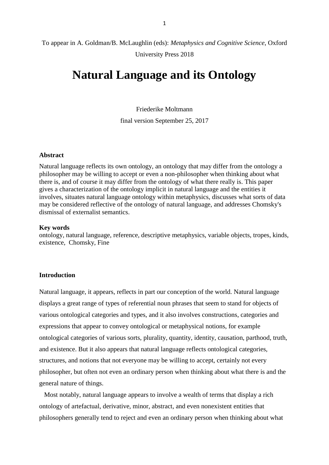To appear in A. Goldman/B. McLaughlin (eds): *Metaphysics and Cognitive Science*, Oxford University Press 2018

# **Natural Language and its Ontology**

Friederike Moltmann

final version September 25, 2017

#### **Abstract**

Natural language reflects its own ontology, an ontology that may differ from the ontology a philosopher may be willing to accept or even a non-philosopher when thinking about what there is, and of course it may differ from the ontology of what there really is. This paper gives a characterization of the ontology implicit in natural language and the entities it involves, situates natural language ontology within metaphysics, discusses what sorts of data may be considered reflective of the ontology of natural language, and addresses Chomsky's dismissal of externalist semantics.

#### **Key words**

ontology, natural language, reference, descriptive metaphysics, variable objects, tropes, kinds, existence, Chomsky, Fine

## **Introduction**

Natural language, it appears, reflects in part our conception of the world. Natural language displays a great range of types of referential noun phrases that seem to stand for objects of various ontological categories and types, and it also involves constructions, categories and expressions that appear to convey ontological or metaphysical notions, for example ontological categories of various sorts, plurality, quantity, identity, causation, parthood, truth, and existence. But it also appears that natural language reflects ontological categories, structures, and notions that not everyone may be willing to accept, certainly not every philosopher, but often not even an ordinary person when thinking about what there is and the general nature of things.

 Most notably, natural language appears to involve a wealth of terms that display a rich ontology of artefactual, derivative, minor, abstract, and even nonexistent entities that philosophers generally tend to reject and even an ordinary person when thinking about what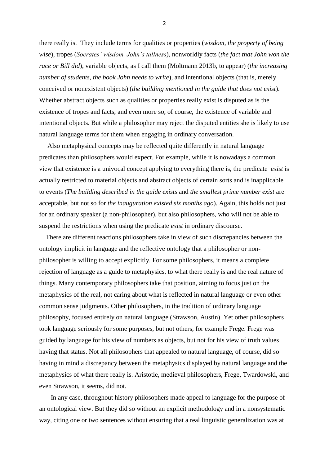there really is. They include terms for qualities or properties (*wisdom, the property of being wise*), tropes (*Socrates' wisdom, John's tallness*), nonworldly facts (*the fact that John won the race or Bill did*), variable objects, as I call them (Moltmann 2013b, to appear) (*the increasing number of students, the book John needs to write*), and intentional objects (that is, merely conceived or nonexistent objects) (*the building mentioned in the guide that does not exist*). Whether abstract objects such as qualities or properties really exist is disputed as is the existence of tropes and facts, and even more so, of course, the existence of variable and intentional objects. But while a philosopher may reject the disputed entities she is likely to use natural language terms for them when engaging in ordinary conversation.

 Also metaphysical concepts may be reflected quite differently in natural language predicates than philosophers would expect. For example, while it is nowadays a common view that existence is a univocal concept applying to everything there is, the predicate *exist* is actually restricted to material objects and abstract objects of certain sorts and is inapplicable to events (*The building described in the guide exists* and *the smallest prime number exist* are acceptable, but not so for *the inauguration existed six months ago*). Again, this holds not just for an ordinary speaker (a non-philosopher), but also philosophers, who will not be able to suspend the restrictions when using the predicate *exist* in ordinary discourse.

 There are different reactions philosophers take in view of such discrepancies between the ontology implicit in language and the reflective ontology that a philosopher or nonphilosopher is willing to accept explicitly. For some philosophers, it means a complete rejection of language as a guide to metaphysics, to what there really is and the real nature of things. Many contemporary philosophers take that position, aiming to focus just on the metaphysics of the real, not caring about what is reflected in natural language or even other common sense judgments. Other philosophers, in the tradition of ordinary language philosophy, focused entirely on natural language (Strawson, Austin). Yet other philosophers took language seriously for some purposes, but not others, for example Frege. Frege was guided by language for his view of numbers as objects, but not for his view of truth values having that status. Not all philosophers that appealed to natural language, of course, did so having in mind a discrepancy between the metaphysics displayed by natural language and the metaphysics of what there really is. Aristotle, medieval philosophers, Frege, Twardowski, and even Strawson, it seems, did not.

 In any case, throughout history philosophers made appeal to language for the purpose of an ontological view. But they did so without an explicit methodology and in a nonsystematic way, citing one or two sentences without ensuring that a real linguistic generalization was at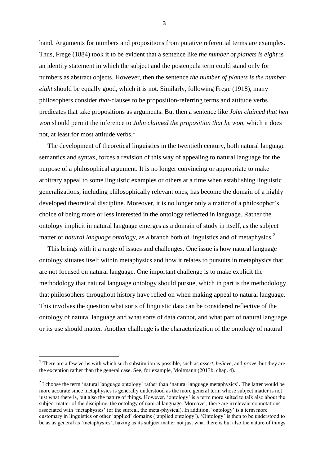hand. Arguments for numbers and propositions from putative referential terms are examples. Thus, Frege (1884) took it to be evident that a sentence like *the number of planets is eight* is an identity statement in which the subject and the postcopula term could stand only for numbers as abstract objects. However, then the sentence *the number of planets is the number eight* should be equally good, which it is not. Similarly, following Frege (1918), many philosophers consider *that-*clauses to be proposition-referring terms and attitude verbs predicates that take propositions as arguments. But then a sentence like *John claimed that hen won* should permit the inference to *John claimed the proposition that he won*, which it does not, at least for most attitude verbs. $<sup>1</sup>$ </sup>

 The development of theoretical linguistics in the twentieth century, both natural language semantics and syntax, forces a revision of this way of appealing to natural language for the purpose of a philosophical argument. It is no longer convincing or appropriate to make arbitrary appeal to some linguistic examples or others at a time when establishing linguistic generalizations, including philosophically relevant ones, has become the domain of a highly developed theoretical discipline. Moreover, it is no longer only a matter of a philosopher's choice of being more or less interested in the ontology reflected in language. Rather the ontology implicit in natural language emerges as a domain of study in itself, as the subject matter of *natural language ontology*, as a branch both of linguistics and of metaphysics.<sup>2</sup>

 This brings with it a range of issues and challenges. One issue is how natural language ontology situates itself within metaphysics and how it relates to pursuits in metaphysics that are not focused on natural language. One important challenge is to make explicit the methodology that natural language ontology should pursue, which in part is the methodology that philosophers throughout history have relied on when making appeal to natural language. This involves the question what sorts of linguistic data can be considered reflective of the ontology of natural language and what sorts of data cannot, and what part of natural language or its use should matter. Another challenge is the characterization of the ontology of natural

 $\overline{a}$ 

<sup>&</sup>lt;sup>1</sup> There are a few verbs with which such substitution is possible, such as *assert, believe*, and *prove*, but they are the exception rather than the general case. See, for example, Moltmann (2013b, chap. 4).

<sup>&</sup>lt;sup>2</sup> I choose the term 'natural language ontology' rather than 'natural language metaphysics'. The latter would be more accurate since metaphysics is generally understood as the more general term whose subject matter is not just what there is, but also the nature of things. However, 'ontology' is a term more suited to talk also about the subject matter of the discipline, the ontology of natural language. Moreover, there are irrelevant connotations associated with 'metaphysics' (or the surreal, the meta-physical). In addition, 'ontology' is a term more customary in linguistics or other 'applied' domains ('applied ontology'). 'Ontology' is then to be understood to be as as general as 'metaphysics', having as its subject matter not just what there is but also the nature of things.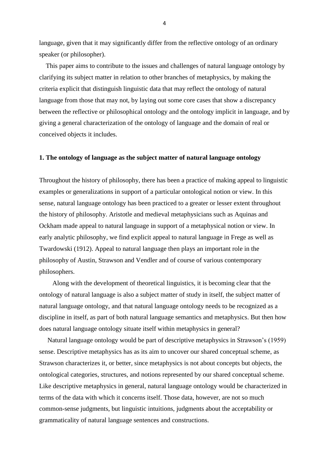language, given that it may significantly differ from the reflective ontology of an ordinary speaker (or philosopher).

 This paper aims to contribute to the issues and challenges of natural language ontology by clarifying its subject matter in relation to other branches of metaphysics, by making the criteria explicit that distinguish linguistic data that may reflect the ontology of natural language from those that may not, by laying out some core cases that show a discrepancy between the reflective or philosophical ontology and the ontology implicit in language, and by giving a general characterization of the ontology of language and the domain of real or conceived objects it includes.

## **1. The ontology of language as the subject matter of natural language ontology**

Throughout the history of philosophy, there has been a practice of making appeal to linguistic examples or generalizations in support of a particular ontological notion or view. In this sense, natural language ontology has been practiced to a greater or lesser extent throughout the history of philosophy. Aristotle and medieval metaphysicians such as Aquinas and Ockham made appeal to natural language in support of a metaphysical notion or view. In early analytic philosophy, we find explicit appeal to natural language in Frege as well as Twardowski (1912). Appeal to natural language then plays an important role in the philosophy of Austin, Strawson and Vendler and of course of various contemporary philosophers.

 Along with the development of theoretical linguistics, it is becoming clear that the ontology of natural language is also a subject matter of study in itself, the subject matter of natural language ontology, and that natural language ontology needs to be recognized as a discipline in itself, as part of both natural language semantics and metaphysics. But then how does natural language ontology situate itself within metaphysics in general?

 Natural language ontology would be part of descriptive metaphysics in Strawson's (1959) sense. Descriptive metaphysics has as its aim to uncover our shared conceptual scheme, as Strawson characterizes it, or better, since metaphysics is not about concepts but objects, the ontological categories, structures, and notions represented by our shared conceptual scheme. Like descriptive metaphysics in general, natural language ontology would be characterized in terms of the data with which it concerns itself. Those data, however, are not so much common-sense judgments, but linguistic intuitions, judgments about the acceptability or grammaticality of natural language sentences and constructions.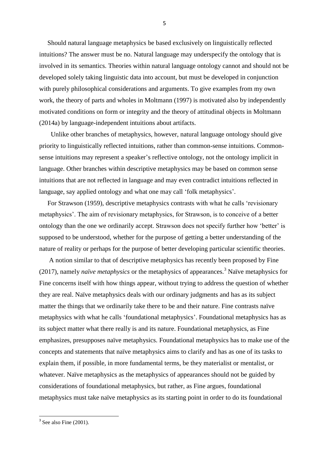Should natural language metaphysics be based exclusively on linguistically reflected intuitions? The answer must be no. Natural language may underspecify the ontology that is involved in its semantics. Theories within natural language ontology cannot and should not be developed solely taking linguistic data into account, but must be developed in conjunction with purely philosophical considerations and arguments. To give examples from my own work, the theory of parts and wholes in Moltmann (1997) is motivated also by independently motivated conditions on form or integrity and the theory of attitudinal objects in Moltmann (2014a) by language-independent intuitions about artifacts.

 Unlike other branches of metaphysics, however, natural language ontology should give priority to linguistically reflected intuitions, rather than common-sense intuitions. Commonsense intuitions may represent a speaker's reflective ontology, not the ontology implicit in language. Other branches within descriptive metaphysics may be based on common sense intuitions that are not reflected in language and may even contradict intuitions reflected in language, say applied ontology and what one may call 'folk metaphysics'.

 For Strawson (1959), descriptive metaphysics contrasts with what he calls 'revisionary metaphysics'. The aim of revisionary metaphysics, for Strawson, is to conceive of a better ontology than the one we ordinarily accept. Strawson does not specify further how 'better' is supposed to be understood, whether for the purpose of getting a better understanding of the nature of reality or perhaps for the purpose of better developing particular scientific theories.

 A notion similar to that of descriptive metaphysics has recently been proposed by Fine (2017), namely *naïve metaphysics* or the metaphysics of appearances. <sup>3</sup> Naïve metaphysics for Fine concerns itself with how things appear, without trying to address the question of whether they are real. Naïve metaphysics deals with our ordinary judgments and has as its subject matter the things that we ordinarily take there to be and their nature. Fine contrasts naïve metaphysics with what he calls 'foundational metaphysics'. Foundational metaphysics has as its subject matter what there really is and its nature. Foundational metaphysics, as Fine emphasizes, presupposes naïve metaphysics. Foundational metaphysics has to make use of the concepts and statements that naïve metaphysics aims to clarify and has as one of its tasks to explain them, if possible, in more fundamental terms, be they materialist or mentalist, or whatever. Naïve metaphysics as the metaphysics of appearances should not be guided by considerations of foundational metaphysics, but rather, as Fine argues, foundational metaphysics must take naïve metaphysics as its starting point in order to do its foundational

<sup>5</sup>

 $3$  See also Fine (2001).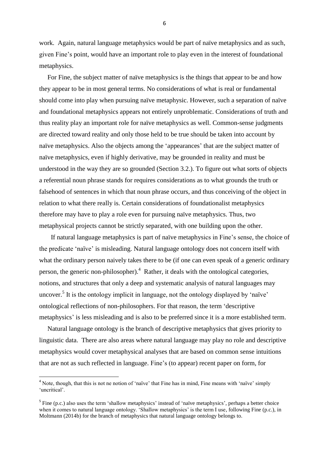work. Again, natural language metaphysics would be part of naïve metaphysics and as such, given Fine's point, would have an important role to play even in the interest of foundational metaphysics.

 For Fine, the subject matter of naïve metaphysics is the things that appear to be and how they appear to be in most general terms. No considerations of what is real or fundamental should come into play when pursuing naïve metaphysic. However, such a separation of naïve and foundational metaphysics appears not entirely unproblematic. Considerations of truth and thus reality play an important role for naïve metaphysics as well. Common-sense judgments are directed toward reality and only those held to be true should be taken into account by naïve metaphysics. Also the objects among the 'appearances' that are the subject matter of naïve metaphysics, even if highly derivative, may be grounded in reality and must be understood in the way they are so grounded (Section 3.2.). To figure out what sorts of objects a referential noun phrase stands for requires considerations as to what grounds the truth or falsehood of sentences in which that noun phrase occurs, and thus conceiving of the object in relation to what there really is. Certain considerations of foundationalist metaphysics therefore may have to play a role even for pursuing naïve metaphysics. Thus, two metaphysical projects cannot be strictly separated, with one building upon the other.

 If natural language metaphysics is part of naïve metaphysics in Fine's sense, the choice of the predicate 'naïve' is misleading. Natural language ontology does not concern itself with what the ordinary person naively takes there to be (if one can even speak of a generic ordinary person, the generic non-philosopher).<sup>4</sup> Rather, it deals with the ontological categories, notions, and structures that only a deep and systematic analysis of natural languages may uncover. 5 It is the ontology implicit in language, not the ontology displayed by 'naïve' ontological reflections of non-philosophers. For that reason, the term 'descriptive metaphysics' is less misleading and is also to be preferred since it is a more established term.

 Natural language ontology is the branch of descriptive metaphysics that gives priority to linguistic data. There are also areas where natural language may play no role and descriptive metaphysics would cover metaphysical analyses that are based on common sense intuitions that are not as such reflected in language. Fine's (to appear) recent paper on form, for

 $\overline{\phantom{a}}$ 

<sup>&</sup>lt;sup>4</sup> Note, though, that this is not ne notion of 'naïve' that Fine has in mind, Fine means with 'naïve' simply 'uncritical'.

 $<sup>5</sup>$  Fine (p.c.) also uses the term 'shallow metaphysics' instead of 'naïve metaphysics', perhaps a better choice</sup> when it comes to natural language ontology. 'Shallow metaphysics' is the term I use, following Fine (p.c.), in Moltmann (2014b) for the branch of metaphysics that natural language ontology belongs to.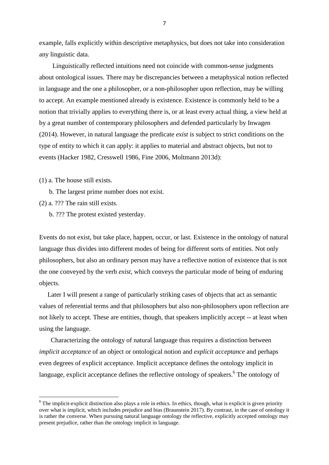example, falls explicitly within descriptive metaphysics, but does not take into consideration any linguistic data.

 Linguistically reflected intuitions need not coincide with common-sense judgments about ontological issues. There may be discrepancies between a metaphysical notion reflected in language and the one a philosopher, or a non-philosopher upon reflection, may be willing to accept. An example mentioned already is existence. Existence is commonly held to be a notion that trivially applies to everything there is, or at least every actual thing, a view held at by a great number of contemporary philosophers and defended particularly by Inwagen (2014). However, in natural language the predicate *exist* is subject to strict conditions on the type of entity to which it can apply: it applies to material and abstract objects, but not to events (Hacker 1982, Cresswell 1986, Fine 2006, Moltmann 2013d):

(1) a. The house still exists.

b. The largest prime number does not exist.

(2) a. ??? The rain still exists.

 $\overline{\phantom{a}}$ 

b. ??? The protest existed yesterday.

Events do not exist, but take place, happen, occur, or last. Existence in the ontology of natural language thus divides into different modes of being for different sorts of entities. Not only philosophers, but also an ordinary person may have a reflective notion of existence that is not the one conveyed by the verb *exist,* which conveys the particular mode of being of enduring objects.

 Later I will present a range of particularly striking cases of objects that act as semantic values of referential terms and that philosophers but also non-philosophers upon reflection are not likely to accept. These are entities, though, that speakers implicitly accept -- at least when using the language.

 Characterizing the ontology of natural language thus requires a distinction between *implicit acceptance* of an object or ontological notion and *explicit acceptance* and perhaps even degrees of explicit acceptance. Implicit acceptance defines the ontology implicit in language, explicit acceptance defines the reflective ontology of speakers.<sup>6</sup> The ontology of

 $6$  The implicit-explicit distinction also plays a role in ethics. In ethics, though, what is explicit is given priority over what is implicit, which includes prejudice and bias (Braunstein 2017). By contrast, in the case of ontology it is rather the converse. When pursuing natural language ontology the reflective, explicitly accepted ontology may present prejudice, rather than the ontology implicit in language.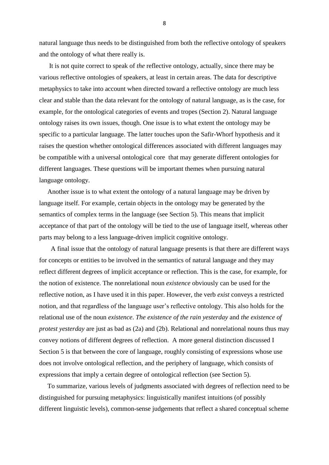natural language thus needs to be distinguished from both the reflective ontology of speakers and the ontology of what there really is.

 It is not quite correct to speak of *the* reflective ontology, actually, since there may be various reflective ontologies of speakers, at least in certain areas. The data for descriptive metaphysics to take into account when directed toward a reflective ontology are much less clear and stable than the data relevant for the ontology of natural language, as is the case, for example, for the ontological categories of events and tropes (Section 2). Natural language ontology raises its own issues, though. One issue is to what extent the ontology may be specific to a particular language. The latter touches upon the Safir-Whorf hypothesis and it raises the question whether ontological differences associated with different languages may be compatible with a universal ontological core that may generate different ontologies for different languages. These questions will be important themes when pursuing natural language ontology.

 Another issue is to what extent the ontology of a natural language may be driven by language itself. For example, certain objects in the ontology may be generated by the semantics of complex terms in the language (see Section 5). This means that implicit acceptance of that part of the ontology will be tied to the use of language itself, whereas other parts may belong to a less language-driven implicit cognitive ontology.

 A final issue that the ontology of natural language presents is that there are different ways for concepts or entities to be involved in the semantics of natural language and they may reflect different degrees of implicit acceptance or reflection. This is the case, for example, for the notion of existence. The nonrelational noun *existence* obviously can be used for the reflective notion, as I have used it in this paper. However, the verb *exist* conveys a restricted notion, and that regardless of the language user's reflective ontology. This also holds for the relational use of the noun *existence*. *The existence of the rain yesterday* and *the existence of protest yesterday* are just as bad as (2a) and (2b). Relational and nonrelational nouns thus may convey notions of different degrees of reflection. A more general distinction discussed I Section 5 is that between the core of language, roughly consisting of expressions whose use does not involve ontological reflection, and the periphery of language, which consists of expressions that imply a certain degree of ontological reflection (see Section 5).

 To summarize, various levels of judgments associated with degrees of reflection need to be distinguished for pursuing metaphysics: linguistically manifest intuitions (of possibly different linguistic levels), common-sense judgements that reflect a shared conceptual scheme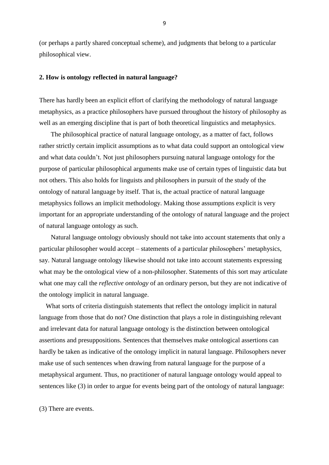(or perhaps a partly shared conceptual scheme), and judgments that belong to a particular philosophical view.

## **2. How is ontology reflected in natural language?**

There has hardly been an explicit effort of clarifying the methodology of natural language metaphysics, as a practice philosophers have pursued throughout the history of philosophy as well as an emerging discipline that is part of both theoretical linguistics and metaphysics.

 The philosophical practice of natural language ontology, as a matter of fact, follows rather strictly certain implicit assumptions as to what data could support an ontological view and what data couldn't. Not just philosophers pursuing natural language ontology for the purpose of particular philosophical arguments make use of certain types of linguistic data but not others. This also holds for linguists and philosophers in pursuit of the study of the ontology of natural language by itself. That is, the actual practice of natural language metaphysics follows an implicit methodology. Making those assumptions explicit is very important for an appropriate understanding of the ontology of natural language and the project of natural language ontology as such.

 Natural language ontology obviously should not take into account statements that only a particular philosopher would accept – statements of a particular philosophers' metaphysics, say. Natural language ontology likewise should not take into account statements expressing what may be the ontological view of a non-philosopher. Statements of this sort may articulate what one may call the *reflective ontology* of an ordinary person, but they are not indicative of the ontology implicit in natural language.

 What sorts of criteria distinguish statements that reflect the ontology implicit in natural language from those that do not? One distinction that plays a role in distinguishing relevant and irrelevant data for natural language ontology is the distinction between ontological assertions and presuppositions. Sentences that themselves make ontological assertions can hardly be taken as indicative of the ontology implicit in natural language. Philosophers never make use of such sentences when drawing from natural language for the purpose of a metaphysical argument. Thus, no practitioner of natural language ontology would appeal to sentences like (3) in order to argue for events being part of the ontology of natural language:

(3) There are events.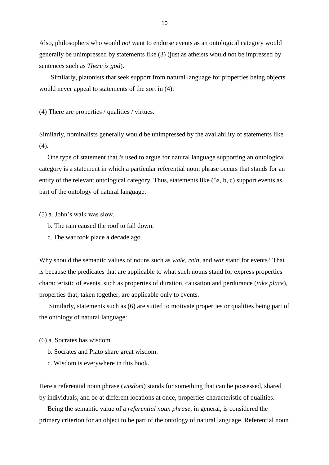Also, philosophers who would *not* want to endorse events as an ontological category would generally be unimpressed by statements like (3) (just as atheists would not be impressed by sentences such as *There is god*).

 Similarly, platonists that seek support from natural language for properties being objects would never appeal to statements of the sort in (4):

(4) There are properties / qualities / virtues.

Similarly, nominalists generally would be unimpressed by the availability of statements like  $(4)$ .

 One type of statement that *is* used to argue for natural language supporting an ontological category is a statement in which a particular referential noun phrase occurs that stands for an entity of the relevant ontological category. Thus, statements like (5a, b, c) support events as part of the ontology of natural language:

(5) a. John's walk was slow.

- b. The rain caused the roof to fall down.
- c. The war took place a decade ago.

Why should the semantic values of nouns such as *walk, rain,* and *war* stand for events? That is because the predicates that are applicable to what such nouns stand for express properties characteristic of events, such as properties of duration, causation and perdurance (*take place*), properties that, taken together, are applicable only to events.

 Similarly, statements such as (6) are suited to motivate properties or qualities being part of the ontology of natural language:

- (6) a. Socrates has wisdom.
	- b. Socrates and Plato share great wisdom.
	- c. Wisdom is everywhere in this book.

Here a referential noun phrase (*wisdom*) stands for something that can be possessed, shared by individuals, and be at different locations at once, properties characteristic of qualities.

 Being the semantic value of a *referential noun phrase*, in general, is considered the primary criterion for an object to be part of the ontology of natural language. Referential noun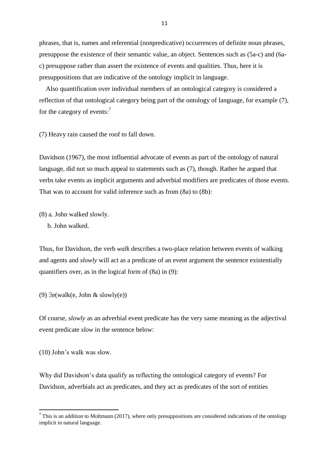phrases, that is, names and referential (nonpredicative) occurrences of definite noun phrases, presuppose the existence of their semantic value, an object. Sentences such as (5a-c) and (6ac) presuppose rather than assert the existence of events and qualities. Thus, here it is presuppositions that are indicative of the ontology implicit in language.

 Also quantification over individual members of an ontological category is considered a reflection of that ontological category being part of the ontology of language, for example (7), for the category of events: $\frac{7}{7}$ 

(7) Heavy rain caused the roof to fall down.

Davidson (1967), the most influential advocate of events as part of the ontology of natural language, did not so much appeal to statements such as (7), though. Rather he argued that verbs take events as implicit arguments and adverbial modifiers are predicates of those events. That was to account for valid inference such as from (8a) to (8b):

(8) a. John walked slowly.

b. John walked.

Thus, for Davidson, the verb *walk* describes a two-place relation between events of walking and agents and *slowly* will act as a predicate of an event argument the sentence existentially quantifiers over, as in the logical form of (8a) in (9):

(9)  $\exists$ e(walk(e, John & slowly(e))

Of course, *slowly* as an adverbial event predicate has the very same meaning as the adjectival event predicate *slow* in the sentence below:

(10) John's walk was slow.

 $\overline{a}$ 

Why did Davidson's data qualify as reflecting the ontological category of events? For Davidson, adverbials act as predicates, and they act as predicates of the sort of entities

<sup>&</sup>lt;sup>7</sup> This is an addition to Moltmann (2017), where only presuppositions are considered indications of the ontology implicit in natural language.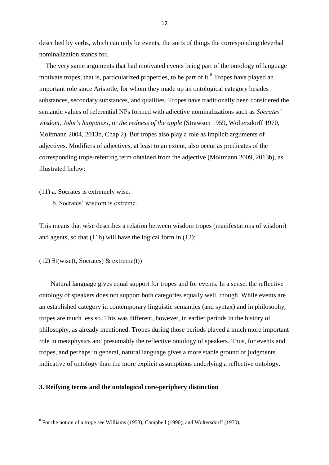described by verbs, which can only be events, the sorts of things the corresponding deverbal nominalization stands for.

 The very same arguments that had motivated events being part of the ontology of language motivate tropes, that is, particularized properties, to be part of it.<sup>8</sup> Tropes have played an important role since Aristotle, for whom they made up an ontological category besides substances, secondary substances, and qualities. Tropes have traditionally been considered the semantic values of referential NPs formed with adjective nominalizations such as *Socrates' wisdom*, *John's happiness*, or *the redness of the apple* (Strawson 1959, Woltersdorff 1970, Moltmann 2004, 2013b, Chap 2). But tropes also play a role as implicit arguments of adjectives. Modifiers of adjectives, at least to an extent, also occur as predicates of the corresponding trope-referring term obtained from the adjective (Moltmann 2009, 2013b), as illustrated below:

- (11) a. Socrates is extremely wise.
	- b. Socrates' wisdom is extreme.

This means that *wise* describes a relation between wisdom tropes (manifestations of wisdom) and agents, so that (11b) will have the logical form in (12):

(12)  $\exists t$ (wise(t, Socrates) & extreme(t))

 Natural language gives equal support for tropes and for events. In a sense, the reflective ontology of speakers does not support both categories equally well, though. While events are an established category in contemporary linguistic semantics (and syntax) and in philosophy, tropes are much less so. This was different, however, in earlier periods in the history of philosophy, as already mentioned. Tropes during those periods played a much more important role in metaphysics and presumably the reflective ontology of speakers. Thus, for events and tropes, and perhaps in general, natural language gives a more stable ground of judgments indicative of ontology than the more explicit assumptions underlying a reflective ontology.

## **3. Reifying terms and the ontological core-periphery distinction**

<sup>&</sup>lt;sup>8</sup> For the notion of a trope see Williams (1953), Campbell (1990), and Woltersdorff (1970).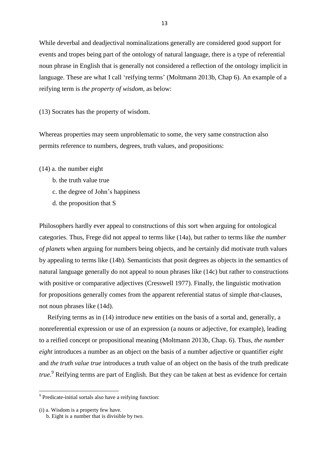While deverbal and deadjectival nominalizations generally are considered good support for events and tropes being part of the ontology of natural language, there is a type of referential noun phrase in English that is generally not considered a reflection of the ontology implicit in language. These are what I call 'reifying terms' (Moltmann 2013b, Chap 6). An example of a reifying term is *the property of wisdom*, as below:

(13) Socrates has the property of wisdom.

Whereas properties may seem unproblematic to some, the very same construction also permits reference to numbers, degrees, truth values, and propositions:

## (14) a. the number eight

- b. the truth value true
- c. the degree of John's happiness
- d. the proposition that S

Philosophers hardly ever appeal to constructions of this sort when arguing for ontological categories. Thus, Frege did not appeal to terms like (14a), but rather to terms like *the number of planets* when arguing for numbers being objects, and he certainly did motivate truth values by appealing to terms like (14b). Semanticists that posit degrees as objects in the semantics of natural language generally do not appeal to noun phrases like (14c) but rather to constructions with positive or comparative adjectives (Cresswell 1977). Finally, the linguistic motivation for propositions generally comes from the apparent referential status of simple *that*-clauses, not noun phrases like (14d).

 Reifying terms as in (14) introduce new entities on the basis of a sortal and, generally, a nonreferential expression or use of an expression (a nouns or adjective, for example), leading to a reified concept or propositional meaning (Moltmann 2013b, Chap. 6). Thus, *the number eight* introduces a number as an object on the basis of a number adjective or quantifier *eight*  and *the truth value true* introduces a truth value of an object on the basis of the truth predicate *true*. <sup>9</sup> Reifying terms are part of English. But they can be taken at best as evidence for certain

 $\overline{\phantom{a}}$ 

<sup>&</sup>lt;sup>9</sup> Predicate-initial sortals also have a reifying function:

<sup>(</sup>i) a. Wisdom is a property few have.

b. Eight is a number that is divisible by two.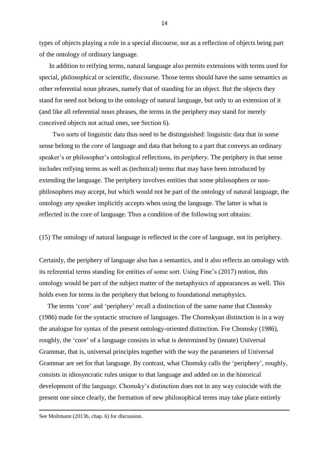types of objects playing a role in a special discourse, not as a reflection of objects being part of the ontology of ordinary language.

 In addition to reifying terms, natural language also permits extensions with terms used for special, philosophical or scientific, discourse. Those terms should have the same semantics as other referential noun phrases, namely that of standing for an object. But the objects they stand for need not belong to the ontology of natural language, but only to an extension of it (and like all referential noun phrases, the terms in the periphery may stand for merely conceived objects not actual ones, see Section 6).

 Two sorts of linguistic data thus need to be distinguished: linguistic data that in some sense belong to the *core* of language and data that belong to a part that conveys an ordinary speaker's or philosopher's ontological reflections, its *periphery*. The periphery in that sense includes reifying terms as well as (technical) terms that may have been introduced by extending the language. The periphery involves entities that some philosophers or nonphilosophers may accept, but which would not be part of the ontology of natural language, the ontology *any* speaker implicitly accepts when using the language. The latter is what is reflected in the core of language. Thus a condition of the following sort obtains:

## (15) The ontology of natural language is reflected in the core of language, not its periphery.

Certainly, the periphery of language also has a semantics, and it also reflects an ontology with its referential terms standing for entities of some sort. Using Fine's (2017) notion, this ontology would be part of the subject matter of the metaphysics of appearances as well. This holds even for terms in the periphery that belong to foundational metaphysics.

 The terms 'core' and 'periphery' recall a distinction of the same name that Chomsky (1986) made for the syntactic structure of languages. The Chomskyan distinction is in a way the analogue for syntax of the present ontology-oriented distinction. For Chomsky (1986), roughly, the 'core' of a language consists in what is determined by (innate) Universal Grammar, that is, universal principles together with the way the parameters of Universal Grammar are set for that language. By contrast, what Chomsky calls the 'periphery', roughly, consists in idiosyncratic rules unique to that language and added on in the historical development of the language. Chomsky's distinction does not in any way coincide with the present one since clearly, the formation of new philosophical terms may take place entirely

 $\overline{\phantom{a}}$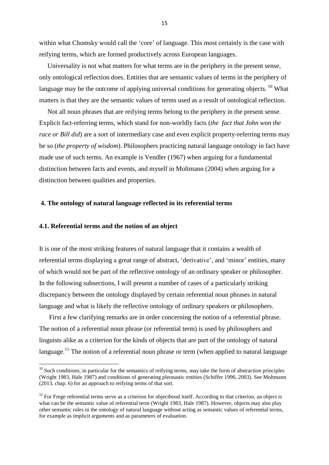within what Chomsky would call the 'core' of language. This most certainly is the case with reifying terms, which are formed productively across European languages.

 Universality is not what matters for what terms are in the periphery in the present sense, only ontological reflection does. Entities that are semantic values of terms in the periphery of language may be the outcome of applying universal conditions for generating objects.  $10$  What matters is that they are the semantic values of terms used as a result of ontological reflection.

 Not all noun phrases that are reifying terms belong to the periphery in the present sense. Explicit fact-referring terms, which stand for non-worldly facts (*the fact that John won the race or Bill did*) are a sort of intermediary case and even explicit property-referring terms may be so (*the property of wisdom*). Philosophers practicing natural language ontology in fact have made use of such terms. An example is Vendler (1967) when arguing for a fundamental distinction between facts and events, and myself in Moltmann (2004) when arguing for a distinction between qualities and properties.

## **4. The ontology of natural language reflected in its referential terms**

## **4.1. Referential terms and the notion of an object**

 $\overline{\phantom{a}}$ 

It is one of the most striking features of natural language that it contains a wealth of referential terms displaying a great range of abstract, 'derivative', and 'minor' entities, many of which would not be part of the reflective ontology of an ordinary speaker or philosopher. In the following subsections, I will present a number of cases of a particularly striking discrepancy between the ontology displayed by certain referential noun phrases in natural language and what is likely the reflective ontology of ordinary speakers or philosophers.

 First a few clarifying remarks are in order concerning the notion of a referential phrase. The notion of a referential noun phrase (or referential term) is used by philosophers and linguists alike as a criterion for the kinds of objects that are part of the ontology of natural language.<sup>11</sup> The notion of a referential noun phrase or term (when applied to natural language

 $10$  Such conditions, in particular for the semantics of reifying terms, may take the form of abstraction principles (Wright 1983, Hale 1987) and conditions of generating pleonastic entities (Schiffer 1996, 2003). See Moltmann (2013, chap. 6) for an approach to reifying terms of that sort.

 $11$  For Frege referential terms serve as a criterion for objecthood itself. According to that criterion, an object is what can be the semantic value of referential term (Wright 1983, Hale 1987). However, objects may also play other semantic roles in the ontology of natural language without acting as semantic values of referential terms, for example as implicit arguments and as parameters of evaluation.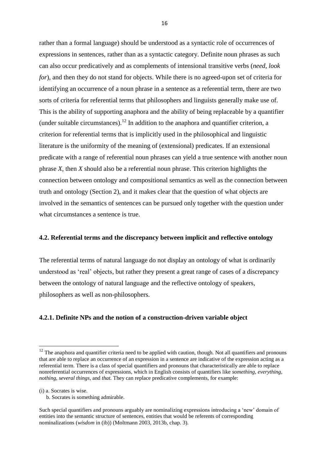rather than a formal language) should be understood as a syntactic role of occurrences of expressions in sentences, rather than as a syntactic category. Definite noun phrases as such can also occur predicatively and as complements of intensional transitive verbs (*need, look for*), and then they do not stand for objects. While there is no agreed-upon set of criteria for identifying an occurrence of a noun phrase in a sentence as a referential term, there are two sorts of criteria for referential terms that philosophers and linguists generally make use of. This is the ability of supporting anaphora and the ability of being replaceable by a quantifier (under suitable circumstances).<sup>12</sup> In addition to the anaphora and quantifier criterion, a criterion for referential terms that is implicitly used in the philosophical and linguistic literature is the uniformity of the meaning of (extensional) predicates. If an extensional predicate with a range of referential noun phrases can yield a true sentence with another noun phrase *X*, then *X* should also be a referential noun phrase. This criterion highlights the connection between ontology and compositional semantics as well as the connection between truth and ontology (Section 2), and it makes clear that the question of what objects are involved in the semantics of sentences can be pursued only together with the question under what circumstances a sentence is true.

## **4.2. Referential terms and the discrepancy between implicit and reflective ontology**

The referential terms of natural language do not display an ontology of what is ordinarily understood as 'real' objects, but rather they present a great range of cases of a discrepancy between the ontology of natural language and the reflective ontology of speakers, philosophers as well as non-philosophers.

## **4.2.1. Definite NPs and the notion of a construction-driven variable object**

 $\overline{a}$ 

 $12$  The anaphora and quantifier criteria need to be applied with caution, though. Not all quantifiers and pronouns that are able to replace an occurrence of an expression in a sentence are indicative of the expression acting as a referential term. There is a class of special quantifiers and pronouns that characteristically are able to replace nonreferential occurrences of expressions, which in English consists of quantifiers like *something, everything, nothing*, *several things*, and *that*. They can replace predicative complements, for example:

<sup>(</sup>i) a. Socrates is wise.

b. Socrates is something admirable.

Such special quantifiers and pronouns arguably are nominalizing expressions introducing a 'new' domain of entities into the semantic structure of sentences, entities that would be referents of corresponding nominalizations (*wisdom* in (ib)) (Moltmann 2003, 2013b, chap. 3).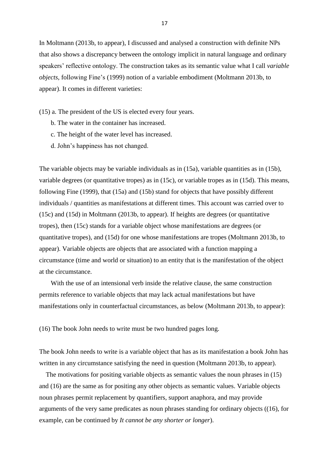In Moltmann (2013b, to appear), I discussed and analysed a construction with definite NPs that also shows a discrepancy between the ontology implicit in natural language and ordinary speakers' reflective ontology. The construction takes as its semantic value what I call *variable objects*, following Fine's (1999) notion of a variable embodiment (Moltmann 2013b, to appear). It comes in different varieties:

(15) a. The president of the US is elected every four years.

- b. The water in the container has increased.
- c. The height of the water level has increased.
- d. John's happiness has not changed.

The variable objects may be variable individuals as in (15a), variable quantities as in (15b), variable degrees (or quantitative tropes) as in (15c), or variable tropes as in (15d). This means, following Fine (1999), that (15a) and (15b) stand for objects that have possibly different individuals / quantities as manifestations at different times. This account was carried over to (15c) and (15d) in Moltmann (2013b, to appear). If heights are degrees (or quantitative tropes), then (15c) stands for a variable object whose manifestations are degrees (or quantitative tropes), and (15d) for one whose manifestations are tropes (Moltmann 2013b, to appear). Variable objects are objects that are associated with a function mapping a circumstance (time and world or situation) to an entity that is the manifestation of the object at the circumstance.

 With the use of an intensional verb inside the relative clause, the same construction permits reference to variable objects that may lack actual manifestations but have manifestations only in counterfactual circumstances, as below (Moltmann 2013b, to appear):

(16) The book John needs to write must be two hundred pages long.

The book John needs to write is a variable object that has as its manifestation a book John has written in any circumstance satisfying the need in question (Moltmann 2013b, to appear).

 The motivations for positing variable objects as semantic values the noun phrases in (15) and (16) are the same as for positing any other objects as semantic values. Variable objects noun phrases permit replacement by quantifiers, support anaphora, and may provide arguments of the very same predicates as noun phrases standing for ordinary objects ((16), for example, can be continued by *It cannot be any shorter or longer*).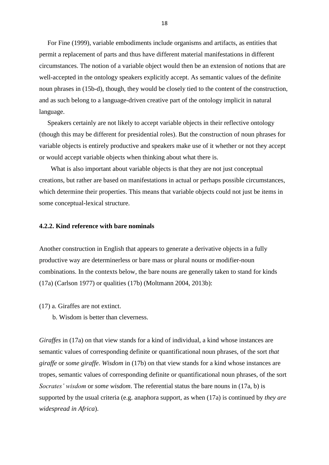For Fine (1999), variable embodiments include organisms and artifacts, as entities that permit a replacement of parts and thus have different material manifestations in different circumstances. The notion of a variable object would then be an extension of notions that are well-accepted in the ontology speakers explicitly accept. As semantic values of the definite noun phrases in (15b-d), though, they would be closely tied to the content of the construction, and as such belong to a language-driven creative part of the ontology implicit in natural language.

 Speakers certainly are not likely to accept variable objects in their reflective ontology (though this may be different for presidential roles). But the construction of noun phrases for variable objects is entirely productive and speakers make use of it whether or not they accept or would accept variable objects when thinking about what there is.

 What is also important about variable objects is that they are not just conceptual creations, but rather are based on manifestations in actual or perhaps possible circumstances, which determine their properties. This means that variable objects could not just be items in some conceptual-lexical structure.

## **4.2.2. Kind reference with bare nominals**

Another construction in English that appears to generate a derivative objects in a fully productive way are determinerless or bare mass or plural nouns or modifier-noun combinations. In the contexts below, the bare nouns are generally taken to stand for kinds (17a) (Carlson 1977) or qualities (17b) (Moltmann 2004, 2013b):

(17) a. Giraffes are not extinct.

b. Wisdom is better than cleverness.

*Giraffes* in (17a) on that view stands for a kind of individual, a kind whose instances are semantic values of corresponding definite or quantificational noun phrases, of the sort *that giraffe* or *some giraffe*. *Wisdom* in (17b) on that view stands for a kind whose instances are tropes, semantic values of corresponding definite or quantificational noun phrases, of the sort *Socrates' wisdom* or *some wisdom*. The referential status the bare nouns in (17a, b) is supported by the usual criteria (e.g. anaphora support, as when (17a) is continued by *they are widespread in Africa*).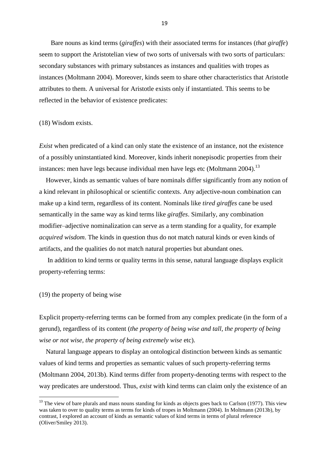Bare nouns as kind terms (*giraffes*) with their associated terms for instances (*that giraffe*) seem to support the Aristotelian view of two sorts of universals with two sorts of particulars: secondary substances with primary substances as instances and qualities with tropes as instances (Moltmann 2004). Moreover, kinds seem to share other characteristics that Aristotle attributes to them. A universal for Aristotle exists only if instantiated. This seems to be reflected in the behavior of existence predicates:

(18) Wisdom exists.

*Exist* when predicated of a kind can only state the existence of an instance, not the existence of a possibly uninstantiated kind. Moreover, kinds inherit nonepisodic properties from their instances: men have legs because individual men have legs etc (Moltmann 2004).<sup>13</sup>

 However, kinds as semantic values of bare nominals differ significantly from any notion of a kind relevant in philosophical or scientific contexts. Any adjective-noun combination can make up a kind term, regardless of its content. Nominals like *tired giraffes* cane be used semantically in the same way as kind terms like *giraffes*. Similarly, any combination modifier–adjective nominalization can serve as a term standing for a quality, for example *acquired wisdom*. The kinds in question thus do not match natural kinds or even kinds of artifacts, and the qualities do not match natural properties but abundant ones.

 In addition to kind terms or quality terms in this sense, natural language displays explicit property-referring terms:

## (19) the property of being wise

 $\overline{\phantom{a}}$ 

Explicit property-referring terms can be formed from any complex predicate (in the form of a gerund), regardless of its content (*the property of being wise and tall, the property of being wise or not wise, the property of being extremely wise* etc).

 Natural language appears to display an ontological distinction between kinds as semantic values of kind terms and properties as semantic values of such property-referring terms (Moltmann 2004, 2013b). Kind terms differ from property-denoting terms with respect to the way predicates are understood. Thus, *exist* with kind terms can claim only the existence of an

 $13$  The view of bare plurals and mass nouns standing for kinds as objects goes back to Carlson (1977). This view was taken to over to quality terms as terms for kinds of tropes in Moltmann (2004). In Moltmann (2013b), by contrast, I explored an account of kinds as semantic values of kind terms in terms of plural reference (Oliver/Smiley 2013).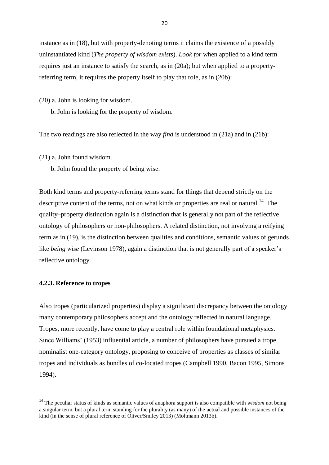instance as in (18), but with property-denoting terms it claims the existence of a possibly uninstantiated kind (*The property of wisdom exists*). *Look for* when applied to a kind term requires just an instance to satisfy the search, as in (20a); but when applied to a propertyreferring term, it requires the property itself to play that role, as in (20b):

(20) a. John is looking for wisdom.

b. John is looking for the property of wisdom.

The two readings are also reflected in the way *find* is understood in (21a) and in (21b):

(21) a. John found wisdom.

b. John found the property of being wise.

Both kind terms and property-referring terms stand for things that depend strictly on the descriptive content of the terms, not on what kinds or properties are real or natural.<sup>14</sup> The quality–property distinction again is a distinction that is generally not part of the reflective ontology of philosophers or non-philosophers. A related distinction, not involving a reifying term as in (19), is the distinction between qualities and conditions, semantic values of gerunds like *being wise* (Levinson 1978), again a distinction that is not generally part of a speaker's reflective ontology.

## **4.2.3. Reference to tropes**

 $\overline{\phantom{a}}$ 

Also tropes (particularized properties) display a significant discrepancy between the ontology many contemporary philosophers accept and the ontology reflected in natural language. Tropes, more recently, have come to play a central role within foundational metaphysics. Since Williams' (1953) influential article, a number of philosophers have pursued a trope nominalist one-category ontology, proposing to conceive of properties as classes of similar tropes and individuals as bundles of co-located tropes (Campbell 1990, Bacon 1995, Simons 1994).

<sup>14</sup> The peculiar status of kinds as semantic values of anaphora support is also compatible with *wisdom* not being a singular term, but a plural term standing for the plurality (as many) of the actual and possible instances of the kind (in the sense of plural reference of Oliver/Smiley 2013) (Moltmann 2013b).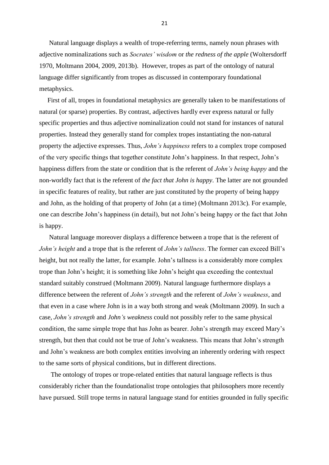Natural language displays a wealth of trope-referring terms, namely noun phrases with adjective nominalizations such as *Socrates' wisdom* or *the redness of the apple* (Woltersdorff 1970, Moltmann 2004, 2009, 2013b). However, tropes as part of the ontology of natural language differ significantly from tropes as discussed in contemporary foundational metaphysics.

 First of all, tropes in foundational metaphysics are generally taken to be manifestations of natural (or sparse) properties. By contrast, adjectives hardly ever express natural or fully specific properties and thus adjective nominalization could not stand for instances of natural properties. Instead they generally stand for complex tropes instantiating the non-natural property the adjective expresses. Thus, *John's happiness* refers to a complex trope composed of the very specific things that together constitute John's happiness. In that respect, John's happiness differs from the state or condition that is the referent of *John's being happy* and the non-worldly fact that is the referent of *the fact that John is happy*. The latter are not grounded in specific features of reality, but rather are just constituted by the property of being happy and John, as the holding of that property of John (at a time) (Moltmann 2013c). For example, one can describe John's happiness (in detail), but not John's being happy or the fact that John is happy.

 Natural language moreover displays a difference between a trope that is the referent of *John's height* and a trope that is the referent of *John's tallness*. The former can exceed Bill's height, but not really the latter, for example. John's tallness is a considerably more complex trope than John's height; it is something like John's height qua exceeding the contextual standard suitably construed (Moltmann 2009). Natural language furthermore displays a difference between the referent of *John's strength* and the referent of *John's weakness*, and that even in a case where John is in a way both strong and weak (Moltmann 2009). In such a case, *John's strength* and *John's weakness* could not possibly refer to the same physical condition, the same simple trope that has John as bearer. John's strength may exceed Mary's strength, but then that could not be true of John's weakness. This means that John's strength and John's weakness are both complex entities involving an inherently ordering with respect to the same sorts of physical conditions, but in different directions.

The ontology of tropes or trope-related entities that natural language reflects is thus considerably richer than the foundationalist trope ontologies that philosophers more recently have pursued. Still trope terms in natural language stand for entities grounded in fully specific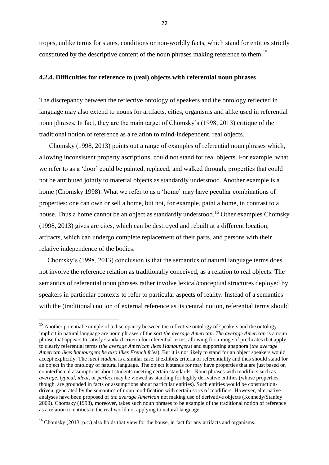tropes, unlike terms for states, conditions or non-worldly facts, which stand for entities strictly constituted by the descriptive content of the noun phrases making reference to them.<sup>15</sup>

## **4.2.4. Difficulties for reference to (real) objects with referential noun phrases**

The discrepancy between the reflective ontology of speakers and the ontology reflected in language may also extend to nouns for artifacts, cities, organisms and alike used in referential noun phrases. In fact, they are the main target of Chomsky's (1998, 2013) critique of the traditional notion of reference as a relation to mind-independent, real objects.

 Chomsky (1998, 2013) points out a range of examples of referential noun phrases which, allowing inconsistent property ascriptions, could not stand for real objects. For example, what we refer to as a 'door' could be painted, replaced, and walked through, properties that could not be attributed jointly to material objects as standardly understood. Another example is a home (Chomsky 1998). What we refer to as a 'home' may have peculiar combinations of properties: one can own or sell a home, but not, for example, paint a home, in contrast to a house. Thus a home cannot be an object as standardly understood.<sup>16</sup> Other examples Chomsky (1998, 2013) gives are cites, which can be destroyed and rebuilt at a different location, artifacts, which can undergo complete replacement of their parts, and persons with their relative independence of the bodies.

 Chomsky's (1998, 2013) conclusion is that the semantics of natural language terms does not involve the reference relation as traditionally conceived, as a relation to real objects. The semantics of referential noun phrases rather involve lexical/conceptual structures deployed by speakers in particular contexts to refer to particular aspects of reality. Instead of a semantics with the (traditional) notion of external reference as its central notion, referential terms should

 $\overline{a}$ 

<sup>&</sup>lt;sup>15</sup> Another potential example of a discrepancy between the reflective ontology of speakers and the ontology implicit in natural language are noun phrases of the sort *the average American*. *The average American* is a noun phrase that appears to satisfy standard criteria for referential terms, allowing for a range of predicates that apply to clearly referential terms (*the average American likes Hamburgers*) and supporting anaphora (*the average American likes hamburgers he also likes French fries*). But it is not likely to stand for an object speakers would accept explicitly. The *ideal student* is a similar case. It exhibits criteria of referentiality and thus should stand for an object in the ontology of natural language. The object it stands for may have properties that are just based on counterfactual assumptions about students meeting certain standards. Noun phrases with modifiers such as *average, typical, ideal,* or *perfect* may be viewed as standing for highly derivative entities (whose properties, though, are grounded in facts or assumptions about particular entities). Such entities would be constructiondriven, generated by the semantics of noun modification with certain sorts of modifiers. However, alternative analyses have been proposed of *the average American* not making use of derivative objects (Kennedy/Stanley 2009). Chomsky (1998), moreover, takes such noun phrases to be example of the traditional notion of reference as a relation to entities in the real world not applying to natural language.

<sup>&</sup>lt;sup>16</sup> Chomsky (2013, p.c.) also holds that view for the house, in fact for any artifacts and organisms.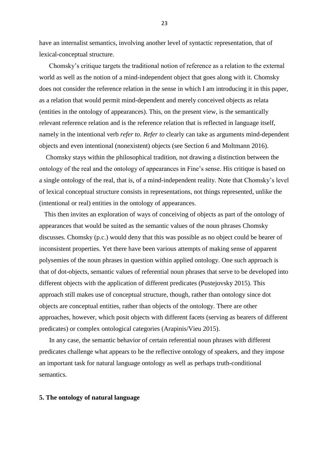have an internalist semantics, involving another level of syntactic representation, that of lexical-conceptual structure.

 Chomsky's critique targets the traditional notion of reference as a relation to the external world as well as the notion of a mind-independent object that goes along with it. Chomsky does not consider the reference relation in the sense in which I am introducing it in this paper, as a relation that would permit mind-dependent and merely conceived objects as relata (entities in the ontology of appearances). This, on the present view, is the semantically relevant reference relation and is the reference relation that is reflected in language itself, namely in the intentional verb *refer to*. *Refer to* clearly can take as arguments mind-dependent objects and even intentional (nonexistent) objects (see Section 6 and Moltmann 2016).

 Chomsky stays within the philosophical tradition, not drawing a distinction between the ontology of the real and the ontology of appearances in Fine's sense. His critique is based on a single ontology of the real, that is, of a mind-independent reality. Note that Chomsky's level of lexical conceptual structure consists in representations, not things represented, unlike the (intentional or real) entities in the ontology of appearances.

 This then invites an exploration of ways of conceiving of objects as part of the ontology of appearances that would be suited as the semantic values of the noun phrases Chomsky discusses. Chomsky (p.c.) would deny that this was possible as no object could be bearer of inconsistent properties. Yet there have been various attempts of making sense of apparent polysemies of the noun phrases in question within applied ontology. One such approach is that of dot-objects, semantic values of referential noun phrases that serve to be developed into different objects with the application of different predicates (Pustejovsky 2015). This approach still makes use of conceptual structure, though, rather than ontology since dot objects are conceptual entities, rather than objects of the ontology. There are other approaches, however, which posit objects with different facets (serving as bearers of different predicates) or complex ontological categories (Arapinis/Vieu 2015).

 In any case, the semantic behavior of certain referential noun phrases with different predicates challenge what appears to be the reflective ontology of speakers, and they impose an important task for natural language ontology as well as perhaps truth-conditional semantics.

### **5. The ontology of natural language**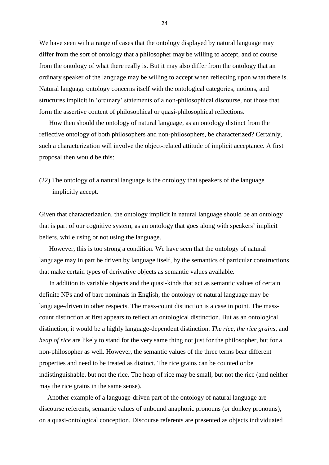We have seen with a range of cases that the ontology displayed by natural language may differ from the sort of ontology that a philosopher may be willing to accept, and of course from the ontology of what there really is. But it may also differ from the ontology that an ordinary speaker of the language may be willing to accept when reflecting upon what there is. Natural language ontology concerns itself with the ontological categories, notions, and structures implicit in 'ordinary' statements of a non-philosophical discourse, not those that form the assertive content of philosophical or quasi-philosophical reflections.

 How then should the ontology of natural language, as an ontology distinct from the reflective ontology of both philosophers and non-philosophers, be characterized? Certainly, such a characterization will involve the object-related attitude of implicit acceptance. A first proposal then would be this:

## (22) The ontology of a natural language is the ontology that speakers of the language implicitly accept.

Given that characterization, the ontology implicit in natural language should be an ontology that is part of our cognitive system, as an ontology that goes along with speakers' implicit beliefs, while using or not using the language.

 However, this is too strong a condition. We have seen that the ontology of natural language may in part be driven by language itself, by the semantics of particular constructions that make certain types of derivative objects as semantic values available.

 In addition to variable objects and the quasi-kinds that act as semantic values of certain definite NPs and of bare nominals in English, the ontology of natural language may be language-driven in other respects. The mass-count distinction is a case in point. The masscount distinction at first appears to reflect an ontological distinction. But as an ontological distinction, it would be a highly language-dependent distinction. *The rice, the rice grains*, and *heap of rice* are likely to stand for the very same thing not just for the philosopher, but for a non-philosopher as well. However, the semantic values of the three terms bear different properties and need to be treated as distinct. The rice grains can be counted or be indistinguishable, but not the rice. The heap of rice may be small, but not the rice (and neither may the rice grains in the same sense).

 Another example of a language-driven part of the ontology of natural language are discourse referents, semantic values of unbound anaphoric pronouns (or donkey pronouns), on a quasi-ontological conception. Discourse referents are presented as objects individuated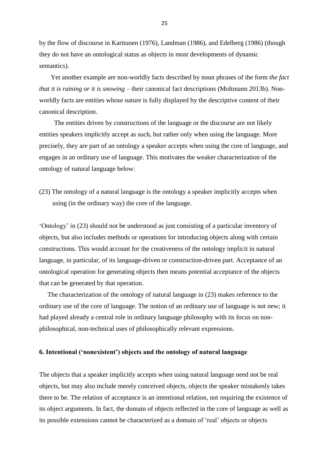by the flow of discourse in Karttunen (1976), Landman (1986), and Edelberg (1986) (though they do not have an ontological status as objects in most developments of dynamic semantics).

 Yet another example are non-worldly facts described by noun phrases of the form *the fact that it is raining or it is snowing* – their canonical fact descriptions (Moltmann 2013b). Nonworldly facts are entities whose nature is fully displayed by the descriptive content of their canonical description.

 The entities driven by constructions of the language or the discourse are not likely entities speakers implicitly accept as such, but rather only when using the language. More precisely, they are part of an ontology a speaker accepts when using the core of language, and engages in an ordinary use of language. This motivates the weaker characterization of the ontology of natural language below:

(23) The ontology of a natural language is the ontology a speaker implicitly accepts when using (in the ordinary way) the core of the language.

'Ontology' in (23) should not be understood as just consisting of a particular inventory of objects, but also includes methods or operations for introducing objects along with certain constructions. This would account for the creativeness of the ontology implicit in natural language, in particular, of its language-driven or construction-driven part. Acceptance of an ontological operation for generating objects then means potential acceptance of the objects that can be generated by that operation.

 The characterization of the ontology of natural language in (23) makes reference to the ordinary use of the core of language. The notion of an ordinary use of language is not new; it had played already a central role in ordinary language philosophy with its focus on nonphilosophical, non-technical uses of philosophically relevant expressions.

## **6. Intentional ('nonexistent') objects and the ontology of natural language**

The objects that a speaker implicitly accepts when using natural language need not be real objects, but may also include merely conceived objects, objects the speaker mistakenly takes there to be. The relation of acceptance is an intentional relation, not requiring the existence of its object arguments. In fact, the domain of objects reflected in the core of language as well as its possible extensions cannot be characterized as a domain of 'real' objects or objects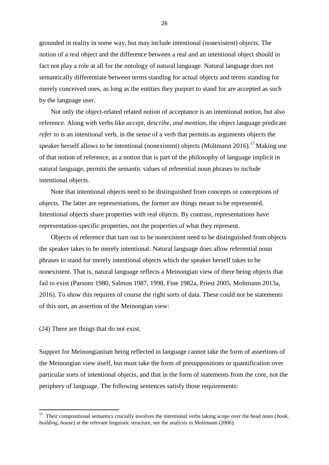grounded in reality in some way, but may include intentional (nonexistent) objects. The notion of a real object and the difference between a real and an intentional object should in fact not play a role at all for the ontology of natural language. Natural language does not semantically differentiate between terms standing for actual objects and terms standing for merely conceived ones, as long as the entities they purport to stand for are accepted as such by the language user.

 Not only the object-related related notion of acceptance is an intentional notion, but also reference. Along with verbs like *accept, describe*, *and mention*, the object language predicate *refer to* is an intentional verb, in the sense of a verb that permits as arguments objects the speaker herself allows to be intentional (nonexistent) objects (Moltmann 2016).<sup>17</sup> Making use of that notion of reference, as a notion that is part of the philosophy of language implicit in natural language, permits the semantic values of referential noun phrases to include intentional objects.

 Note that intentional objects need to be distinguished from concepts or conceptions of objects. The latter are representations, the former are things meant to be represented. Intentional objects share properties with real objects. By contrast, representations have representation-specific properties, not the properties of what they represent.

 Objects of reference that turn out to be nonexistent need to be distinguished from objects the speaker takes to be merely intentional. Natural language does allow referential noun phrases to stand for merely intentional objects which the speaker herself takes to be nonexistent. That is, natural language reflects a Meinongian view of there being objects that fail to exist (Parsons 1980, Salmon 1987, 1998, Fine 1982a, Priest 2005, Moltmann 2013a, 2016). To show this requires of course the right sorts of data. These could not be statements of this sort, an assertion of the Meinongian view:

(24) There are things that do not exist.

 $\overline{a}$ 

Support for Meinongianism being reflected in language cannot take the form of assertions of the Meinongian view itself, but must take the form of presuppositions or quantification over particular sorts of intentional objects, and that in the form of statements from the core, not the periphery of language. The following sentences satisfy those requirements:

<sup>&</sup>lt;sup>17</sup> Their compositional semantics crucially involves the intentional verbs taking scope over the head noun (*book*, *building, house*) at the relevant linguistic structure, see the analysis in Moltmann (2006).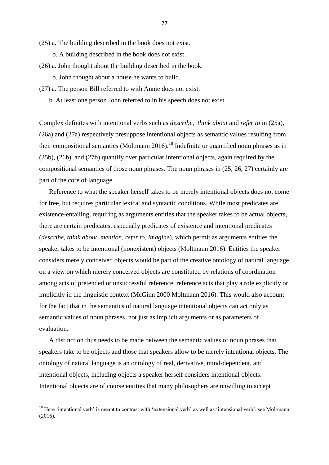- (25) a. The building described in the book does not exist.
	- b. A building described in the book does not exist.
- (26) a. John thought about the building described in the book.
	- b. John thought about a house he wants to build.
- (27) a. The person Bill referred to with Annie does not exist.
	- b. At least one person John referred to in his speech does not exist.

Complex definites with intentional verbs such as *describe*, *think about* and *refer to* in (25a), (26a) and (27a) respectively presuppose intentional objects as semantic values resulting from their compositional semantics (Moltmann 2016).<sup>18</sup> Indefinite or quantified noun phrases as in (25b), (26b), and (27b) quantify over particular intentional objects, again required by the compositional semantics of those noun phrases. The noun phrases in (25, 26, 27) certainly are part of the core of language.

 Reference to what the speaker herself takes to be merely intentional objects does not come for free, but requires particular lexical and syntactic conditions. While most predicates are existence-entailing, requiring as arguments entities that the speaker takes to be actual objects, there are certain predicates, especially predicates of existence and intentional predicates (*describe, think about, mention, refer to, imagine*), which permit as arguments entities the speaker takes to be intentional (nonexistent) objects (Moltmann 2016). Entities the speaker considers merely conceived objects would be part of the creative ontology of natural language on a view on which merely conceived objects are constituted by relations of coordination among acts of pretended or unsuccessful reference, reference acts that play a role explicitly or implicitly in the linguistic context (McGinn 2000 Moltmann 2016). This would also account for the fact that in the semantics of natural language intentional objects can act only as semantic values of noun phrases, not just as implicit arguments or as parameters of evaluation.

 A distinction thus needs to be made between the semantic values of noun phrases that speakers take to be objects and those that speakers allow to be merely intentional objects. The ontology of natural language is an ontology of real, derivative, mind-dependent, and intentional objects, including objects a speaker herself considers intentional objects. Intentional objects are of course entities that many philosophers are unwilling to accept

l

<sup>&</sup>lt;sup>18</sup> Here 'intentional verb' is meant to contrast with 'extensional verb' as well as 'intensional verb', see Moltmann (2016).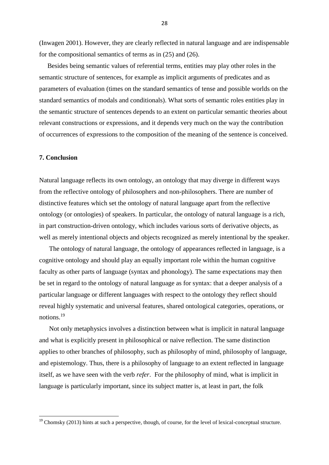(Inwagen 2001). However, they are clearly reflected in natural language and are indispensable for the compositional semantics of terms as in (25) and (26).

 Besides being semantic values of referential terms, entities may play other roles in the semantic structure of sentences, for example as implicit arguments of predicates and as parameters of evaluation (times on the standard semantics of tense and possible worlds on the standard semantics of modals and conditionals). What sorts of semantic roles entities play in the semantic structure of sentences depends to an extent on particular semantic theories about relevant constructions or expressions, and it depends very much on the way the contribution of occurrences of expressions to the composition of the meaning of the sentence is conceived.

## **7. Conclusion**

 $\overline{\phantom{a}}$ 

Natural language reflects its own ontology, an ontology that may diverge in different ways from the reflective ontology of philosophers and non-philosophers. There are number of distinctive features which set the ontology of natural language apart from the reflective ontology (or ontologies) of speakers. In particular, the ontology of natural language is a rich, in part construction-driven ontology, which includes various sorts of derivative objects, as well as merely intentional objects and objects recognized as merely intentional by the speaker.

 The ontology of natural language, the ontology of appearances reflected in language, is a cognitive ontology and should play an equally important role within the human cognitive faculty as other parts of language (syntax and phonology). The same expectations may then be set in regard to the ontology of natural language as for syntax: that a deeper analysis of a particular language or different languages with respect to the ontology they reflect should reveal highly systematic and universal features, shared ontological categories, operations, or notions.<sup>19</sup>

 Not only metaphysics involves a distinction between what is implicit in natural language and what is explicitly present in philosophical or naive reflection. The same distinction applies to other branches of philosophy, such as philosophy of mind, philosophy of language, and epistemology. Thus, there is a philosophy of language to an extent reflected in language itself, as we have seen with the verb *refer*. For the philosophy of mind, what is implicit in language is particularly important, since its subject matter is, at least in part, the folk

 $19$  Chomsky (2013) hints at such a perspective, though, of course, for the level of lexical-conceptual structure.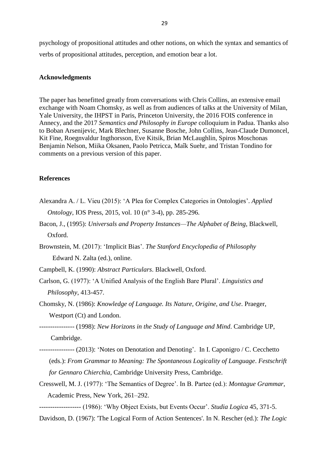psychology of propositional attitudes and other notions, on which the syntax and semantics of verbs of propositional attitudes, perception, and emotion bear a lot.

## **Acknowledgments**

The paper has benefitted greatly from conversations with Chris Collins, an extensive email exchange with Noam Chomsky, as well as from audiences of talks at the University of Milan, Yale University, the IHPST in Paris, Princeton University, the 2016 FOIS conference in Annecy, and the 2017 *Semantics and Philosophy in Europe* colloquium in Padua. Thanks also to Boban Arsenijevic, Mark Blechner, Susanne Bosche, John Collins, Jean-Claude Dumoncel, Kit Fine, Roegnvaldur Ingthorsson, Eve Kitsik, Brian McLaughlin, Spiros Moschonas Benjamin Nelson, Miika Oksanen, Paolo Petricca, Maîk Suehr, and Tristan Tondino for comments on a previous version of this paper.

## **References**

- Alexandra A. / L. Vieu (2015): 'A Plea for Complex Categories in Ontologies'. *Applied Ontology*, IOS Press, 2015, vol. 10 (n° 3-4), pp. 285-296.
- Bacon, J., (1995): *Universals and Property Instances—The Alphabet of Being*, Blackwell, Oxford.
- Brownstein, M. (2017): 'Implicit Bias'. *The Stanford Encyclopedia of Philosophy*  Edward N. Zalta (ed.), online.
- Campbell, K. (1990): *Abstract Particulars*. Blackwell, Oxford.
- Carlson, G. (1977): 'A Unified Analysis of the English Bare Plural'. *Linguistics and Philosophy*, 413-457.
- Chomsky, N. (1986): *Knowledge of Language. Its Nature, Origine, and Use*. Praeger, Westport (Ct) and London.
- ---------------- (1998): *New Horizons in the Study of Language and Mind*. Cambridge UP, Cambridge.
- ---------------- (2013): 'Notes on Denotation and Denoting'. In I. Caponigro / C. Cecchetto (eds.): *From Grammar to Meaning: The Spontaneous Logicality of Language*. *Festschrift for Gennaro Chierchia*, Cambridge University Press, Cambridge.
- Cresswell, M. J. (1977): 'The Semantics of Degree'. In B. Partee (ed.): *Montague Grammar*, Academic Press, New York, 261–292.
- ------------------- (1986): 'Why Object Exists, but Events Occur'. *Studia Logica* 45, 371-5.
- Davidson, D. (1967): 'The Logical Form of Action Sentences'. In N. Rescher (ed.): *The Logic*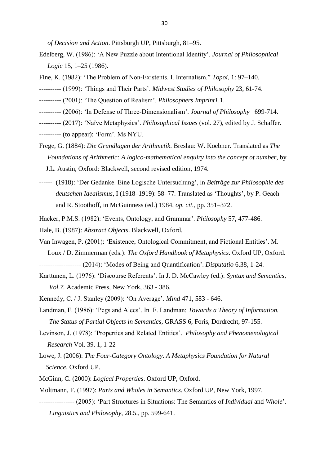*of Decision and Action*. Pittsburgh UP, Pittsburgh, 81–95.

- Edelberg, W. (1986): 'A New Puzzle about Intentional Identity'. *Journal of Philosophical Logic* 15, 1–25 (1986).
- Fine, K. (1982): 'The Problem of Non-Existents. I. Internalism." *Topoi*, 1: 97–140.
- ---------- (1999): 'Things and Their Parts'. *Midwest Studies of Philosophy* 23, 61-74.
- ---------- (2001): 'The Question of Realism'. *Philosophers Imprint1*.1.
- ---------- (2006): 'In Defense of Three-Dimensionalism'. *Journal of Philosophy* 699-714.
- ---------- (2017): 'Naïve Metaphysics'. *Philosophical Issues* (vol. 27), edited by J. Schaffer.
- ---------- (to appear): 'Form'. Ms NYU.
- Frege, G. (1884): *Die Grundlagen der Arithmetik*. Breslau: W. Koebner. Translated as *The Foundations of Arithmetic: A logico-mathematical enquiry into the concept of number*, by
	- J.L. Austin, Oxford: Blackwell, second revised edition, 1974.
- ------ (1918): 'Der Gedanke. Eine Logische Untersuchung', in *Beiträge zur Philosophie des deutschen Idealismus*, I (1918–1919): 58–77. Translated as 'Thoughts', by P. Geach and R. Stoothoff, in McGuinness (ed.) 1984, *op. cit.*, pp. 351–372.
- Hacker, P.M.S. (1982): 'Events, Ontology, and Grammar'. *Philosophy* 57, 477-486.
- Hale, B. (1987): *Abstract Objects*. Blackwell, Oxford.
- Van Inwagen, P. (2001): 'Existence, Ontological Commitment, and Fictional Entities'. M. Loux / D. Zimmerman (eds.): *The Oxford Handbook of Metaphysics*. Oxford UP, Oxford. ------------------- (2014): 'Modes of Being and Quantification'. *Disputatio* 6.38, 1-24.
- Karttunen, L. (1976): 'Discourse Referents'. In J. D. McCawley (ed.): *Syntax and Semantics, Vol.7.* Academic Press, New York, 363 - 386.
- Kennedy, C. / J. Stanley (2009): 'On Average'. *Mind* 471, 583 646.
- Landman, F. (1986): 'Pegs and Alecs'. In F. Landman: *Towards a Theory of Information. The Status of Partial Objects in Semantics*, GRASS 6, Foris, Dordrecht, 97-155.
- Levinson, J. (1978): 'Properties and Related Entities'. *Philosophy and Phenomenological Research* Vol. 39. 1, 1-22
- Lowe, J. (2006): *The Four-Category Ontology. A Metaphysics Foundation for Natural Science*. Oxford UP.
- McGinn, C. (2000): *Logical Properties*. Oxford UP, Oxford.

Moltmann, F. (1997): *Parts and Wholes in Semantics*. Oxford UP, New York, 1997.

---------------- (2005): 'Part Structures in Situations: The Semantics of *Individual* and *Whole*'. *Linguistics and Philosophy*, 28.5., pp. 599-641.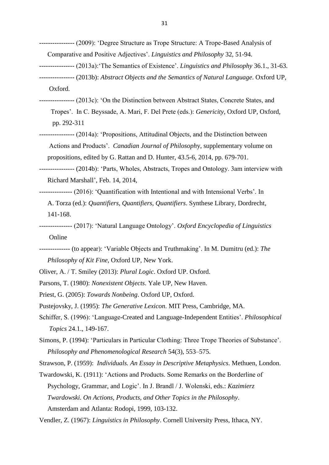---------------- (2009): 'Degree Structure as Trope Structure: A Trope-Based Analysis of Comparative and Positive Adjectives'. *Linguistics and Philosophy* 32, 51-94.

- ---------------- (2013a):'The Semantics of Existence'. *Linguistics and Philosophy* 36.1., 31-63.
- ---------------- (2013b): *Abstract Objects and the Semantics of Natural Language*. Oxford UP, Oxford.
- ---------------- (2013c): 'On the Distinction between Abstract States, Concrete States, and Tropes'. In C. Beyssade, A. Mari, F. Del Prete (eds.): *Genericity*, Oxford UP, Oxford, pp. 292-311
- ---------------- (2014a): 'Propositions, Attitudinal Objects, and the Distinction between Actions and Products'. *Canadian Journal of Philosoph*y, supplementary volume on propositions, edited by G. Rattan and D. Hunter, 43.5-6, 2014, pp. 679-701.
- ---------------- (2014b): 'Parts, Wholes, Abstracts, Tropes and Ontology. 3am interview with Richard Marshall', Feb. 14, 2014,
- --------------- (2016): 'Quantification with Intentional and with Intensional Verbs'. In A. Torza (ed.): *Quantifiers, Quantifiers, Quantifiers*. Synthese Library, Dordrecht, 141-168.
- --------------- (2017): 'Natural Language Ontology'. *Oxford Encyclopedia of Linguistics* Online

-------------- (to appear): 'Variable Objects and Truthmaking'. In M. Dumitru (ed.): *The Philosophy of Kit Fine*, Oxford UP, New York.

- Oliver, A. / T. Smiley (2013): *Plural Logic*. Oxford UP. Oxford.
- Parsons, T. (1980): *Nonexistent Objects*. Yale UP, New Haven.
- Priest, G. (2005): *Towards Nonbeing*. Oxford UP, Oxford.
- Pustejovsky, J. (1995): *The Generative Lexicon*. MIT Press, Cambridge, MA.
- Schiffer, S. (1996): 'Language-Created and Language-Independent Entities'. *Philosophical Topics* 24.1., 149-167.
- Simons, P. (1994): 'Particulars in Particular Clothing: Three Trope Theories of Substance'. *Philosophy and Phenomenological Research* 54(3), 553–575.
- Strawson, P. (1959): *Individuals. An Essay in Descriptive Metaphysics*. Methuen, London.
- Twardowski, K. (1911): 'Actions and Products. Some Remarks on the Borderline of Psychology, Grammar, and Logic'. In J. Brandl / J. Wolenski, eds.: *Kazimierz Twardowski. On Actions, Products, and Other Topics in the Philosophy*. Amsterdam and Atlanta: Rodopi, 1999, 103-132.

Vendler, Z. (1967): *Linguistics in Philosophy*. Cornell University Press, Ithaca, NY.